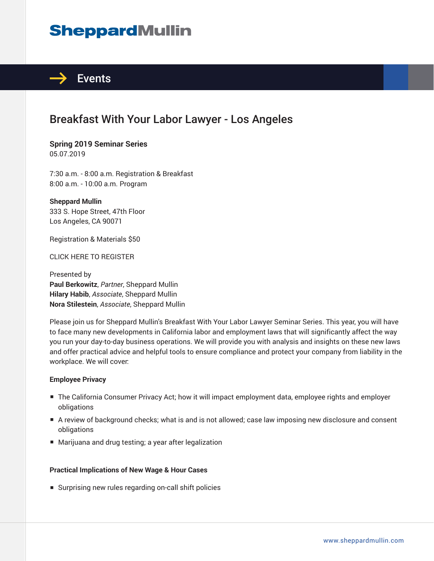# **SheppardMullin**



### Breakfast With Your Labor Lawyer - Los Angeles

**Spring 2019 Seminar Series** 05.07.2019

7:30 a.m. - 8:00 a.m. Registration & Breakfast 8:00 a.m. - 10:00 a.m. Program

**Sheppard Mullin** 333 S. Hope Street, 47th Floor Los Angeles, CA 90071

Registration & Materials \$50

CLICK HERE TO REGISTER

Presented by **Paul Berkowitz**, *Partner*, Sheppard Mullin **Hilary Habib**, *Associate*, Sheppard Mullin **Nora Stilestein**, *Associate*, Sheppard Mullin

Please join us for Sheppard Mullin's Breakfast With Your Labor Lawyer Seminar Series. This year, you will have to face many new developments in California labor and employment laws that will significantly affect the way you run your day-to-day business operations. We will provide you with analysis and insights on these new laws and offer practical advice and helpful tools to ensure compliance and protect your company from liability in the workplace. We will cover:

#### **Employee Privacy**

- The California Consumer Privacy Act; how it will impact employment data, employee rights and employer obligations
- A review of background checks; what is and is not allowed; case law imposing new disclosure and consent obligations
- Marijuana and drug testing; a year after legalization

#### **Practical Implications of New Wage & Hour Cases**

■ Surprising new rules regarding on-call shift policies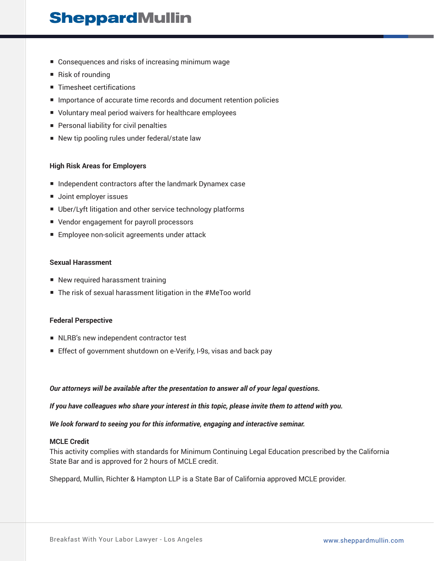## **SheppardMullin**

- Consequences and risks of increasing minimum wage
- Risk of rounding
- Timesheet certifications
- Importance of accurate time records and document retention policies
- Voluntary meal period waivers for healthcare employees
- Personal liability for civil penalties
- New tip pooling rules under federal/state law

#### **High Risk Areas for Employers**

- Independent contractors after the landmark Dynamex case
- Joint employer issues
- Uber/Lyft litigation and other service technology platforms
- Vendor engagement for payroll processors
- Employee non-solicit agreements under attack

#### **Sexual Harassment**

- New required harassment training
- The risk of sexual harassment litigation in the #MeToo world

#### **Federal Perspective**

- NLRB's new independent contractor test
- Effect of government shutdown on e-Verify, I-9s, visas and back pay

#### *Our attorneys will be available after the presentation to answer all of your legal questions.*

*If you have colleagues who share your interest in this topic, please invite them to attend with you.*

*We look forward to seeing you for this informative, engaging and interactive seminar.*

#### **MCLE Credit**

This activity complies with standards for Minimum Continuing Legal Education prescribed by the California State Bar and is approved for 2 hours of MCLE credit.

Sheppard, Mullin, Richter & Hampton LLP is a State Bar of California approved MCLE provider.